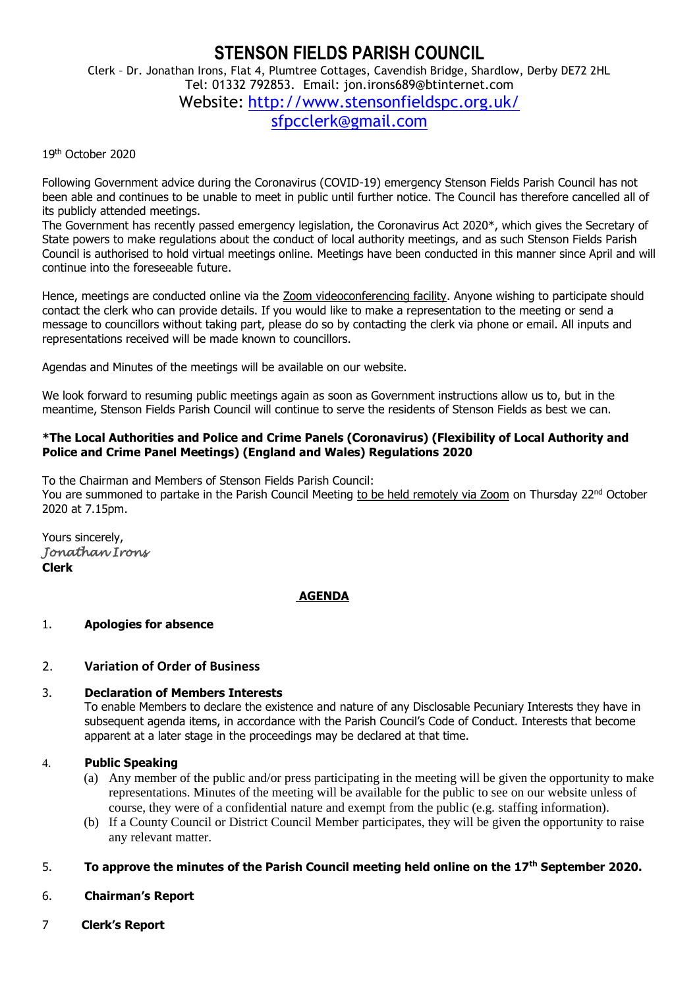### **STENSON FIELDS PARISH COUNCIL** Clerk – Dr. Jonathan Irons, Flat 4, Plumtree Cottages, Cavendish Bridge, Shardlow, Derby DE72 2HL Tel: 01332 792853. Email: jon.irons689@btinternet.com

Website: <http://www.stensonfieldspc.org.uk/>

[sfpcclerk@gmail.com](mailto:sfpcclerk@gmail.com)

### 19th October 2020

Following Government advice during the Coronavirus (COVID-19) emergency Stenson Fields Parish Council has not been able and continues to be unable to meet in public until further notice. The Council has therefore cancelled all of its publicly attended meetings.

The Government has recently passed emergency legislation, the Coronavirus Act 2020\*, which gives the Secretary of State powers to make regulations about the conduct of local authority meetings, and as such Stenson Fields Parish Council is authorised to hold virtual meetings online. Meetings have been conducted in this manner since April and will continue into the foreseeable future.

Hence, meetings are conducted online via the Zoom videoconferencing facility. Anyone wishing to participate should contact the clerk who can provide details. If you would like to make a representation to the meeting or send a message to councillors without taking part, please do so by contacting the clerk via phone or email. All inputs and representations received will be made known to councillors.

Agendas and Minutes of the meetings will be available on our website.

We look forward to resuming public meetings again as soon as Government instructions allow us to, but in the meantime, Stenson Fields Parish Council will continue to serve the residents of Stenson Fields as best we can.

### **\*The Local Authorities and Police and Crime Panels (Coronavirus) (Flexibility of Local Authority and Police and Crime Panel Meetings) (England and Wales) Regulations 2020**

To the Chairman and Members of Stenson Fields Parish Council: You are summoned to partake in the Parish Council Meeting to be held remotely via Zoom on Thursday 22<sup>nd</sup> October 2020 at 7.15pm.

Yours sincerely, *Jonathan Irons*  **Clerk**

# **AGENDA**

# 1. **Apologies for absence**

# 2. **Variation of Order of Business**

# 3. **Declaration of Members Interests**

To enable Members to declare the existence and nature of any Disclosable Pecuniary Interests they have in subsequent agenda items, in accordance with the Parish Council's Code of Conduct. Interests that become apparent at a later stage in the proceedings may be declared at that time.

#### 4. **Public Speaking**

- (a) Any member of the public and/or press participating in the meeting will be given the opportunity to make representations. Minutes of the meeting will be available for the public to see on our website unless of course, they were of a confidential nature and exempt from the public (e.g. staffing information).
- (b) If a County Council or District Council Member participates, they will be given the opportunity to raise any relevant matter.

### 5. **To approve the minutes of the Parish Council meeting held online on the 17th September 2020.**

- 6. **Chairman's Report**
- 7 **Clerk's Report**